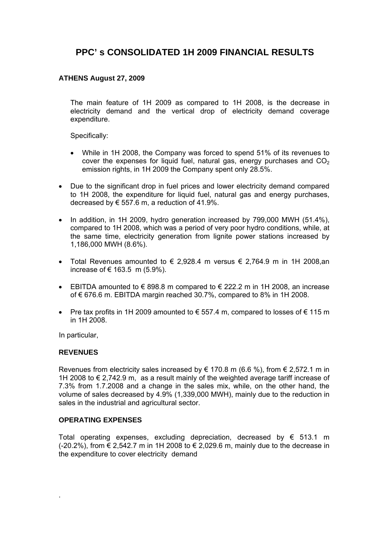# **PPC' s CONSOLIDATED 1H 2009 FINANCIAL RESULTS**

### **ATHENS August 27, 2009**

The main feature of 1H 2009 as compared to 1H 2008, is the decrease in electricity demand and the vertical drop of electricity demand coverage expenditure.

Specifically:

- While in 1H 2008, the Company was forced to spend 51% of its revenues to cover the expenses for liquid fuel, natural gas, energy purchases and  $CO<sub>2</sub>$ emission rights, in 1H 2009 the Company spent only 28.5%.
- Due to the significant drop in fuel prices and lower electricity demand compared to 1H 2008, the expenditure for liquid fuel, natural gas and energy purchases, decreased by  $\epsilon$  557.6 m, a reduction of 41.9%.
- In addition, in 1H 2009, hydro generation increased by 799,000 MWH (51.4%), compared to 1H 2008, which was a period of very poor hydro conditions, while, at the same time, electricity generation from lignite power stations increased by 1,186,000 ΜWH (8.6%).
- Total Revenues amounted to  $\epsilon$  2.928.4 m versus  $\epsilon$  2.764.9 m in 1H 2008 an increase of € 163.5 m  $(5.9\%)$ .
- EBITDA amounted to  $\in$  898.8 m compared to  $\in$  222.2 m in 1H 2008, an increase of  $\epsilon$  676.6 m. EBITDA margin reached 30.7%, compared to 8% in 1H 2008.
- Pre tax profits in 1H 2009 amounted to  $\epsilon$  557.4 m, compared to losses of  $\epsilon$  115 m in 1H 2008.

In particular,

#### **REVENUES**

.

Revenues from electricity sales increased by  $\epsilon$  170.8 m (6.6 %), from  $\epsilon$  2.572.1 m in 1H 2008 to € 2,742.9 m, as a result mainly of the weighted average tariff increase of 7.3% from 1.7.2008 and a change in the sales mix, while, on the other hand, the volume of sales decreased by 4.9% (1,339,000 MWH), mainly due to the reduction in sales in the industrial and agricultural sector.

### **OPERATING EXPENSES**

Total operating expenses, excluding depreciation, decreased by  $\epsilon$  513.1 m (-20.2%), from € 2,542.7 m in 1H 2008 to € 2,029.6 m, mainly due to the decrease in the expenditure to cover electricity demand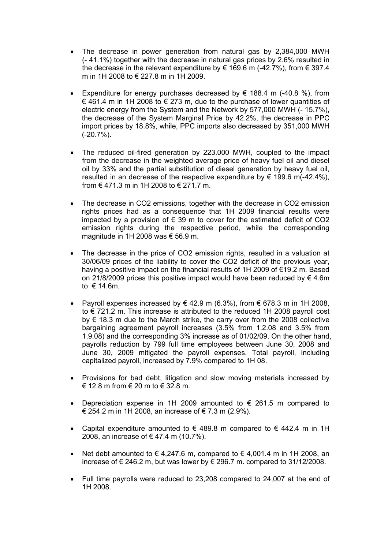- The decrease in power generation from natural gas by 2,384,000 MWH (- 41.1%) together with the decrease in natural gas prices by 2.6% resulted in the decrease in the relevant expenditure by  $\in$  169.6 m (-42.7%), from  $\in$  397.4 m in 1H 2008 to € 227.8 m in 1H 2009.
- Expenditure for energy purchases decreased by  $\in$  188.4 m (-40.8 %), from € 461.4 m in 1H 2008 to € 273 m, due to the purchase of lower quantities of electric energy from the System and the Network by 577,000 MWH (- 15.7%), the decrease of the System Marginal Price by 42.2%, the decrease in PPC import prices by 18.8%, while, PPC imports also decreased by 351,000 MWH (-20.7%).
- The reduced oil-fired generation by 223.000 MWH, coupled to the impact from the decrease in the weighted average price of heavy fuel oil and diesel oil by 33% and the partial substitution of diesel generation by heavy fuel oil, resulted in an decrease of the respective expenditure by  $\epsilon$  199.6 m(-42.4%). from  $\in$  471.3 m in 1H 2008 to  $\in$  271.7 m.
- The decrease in CO2 emissions, together with the decrease in CO2 emission rights prices had as a consequence that 1H 2009 financial results were impacted by a provision of  $\epsilon$  39 m to cover for the estimated deficit of CO2 emission rights during the respective period, while the corresponding magnitude in 1H 2008 was € 56.9 m.
- The decrease in the price of CO2 emission rights, resulted in a valuation at 30/06/09 prices of the liability to cover the CO2 deficit of the previous year, having a positive impact on the financial results of 1H 2009 of €19.2 m. Based on 21/8/2009 prices this positive impact would have been reduced by  $\epsilon$  4.6m to € 14.6m.
- Payroll expenses increased by  $\in$  42.9 m (6.3%), from  $\in$  678.3 m in 1H 2008, to € 721.2 m. This increase is attributed to the reduced 1H 2008 payroll cost by € 18.3 m due to the March strike, the carry over from the 2008 collective bargaining agreement payroll increases (3.5% from 1.2.08 and 3.5% from 1.9.08) and the corresponding 3% increase as of 01/02/09. On the other hand, payrolls reduction by 799 full time employees between June 30, 2008 and June 30, 2009 mitigated the payroll expenses. Total payroll, including capitalized payroll, increased by 7.9% compared to 1H 08.
- Provisions for bad debt, litigation and slow moving materials increased by € 12.8 m from € 20 m to € 32.8 m.
- Depreciation expense in 1H 2009 amounted to  $\epsilon$  261.5 m compared to € 254.2 m in 1H 2008, an increase of € 7.3 m (2.9%).
- Capital expenditure amounted to  $\epsilon$  489.8 m compared to  $\epsilon$  442.4 m in 1H 2008, an increase of € 47.4 m (10.7%).
- Net debt amounted to  $\in$  4.247.6 m, compared to  $\in$  4.001.4 m in 1H 2008, an increase of € 246.2 m, but was lower by € 296.7 m. compared to 31/12/2008.
- Full time payrolls were reduced to 23,208 compared to 24,007 at the end of 1H 2008.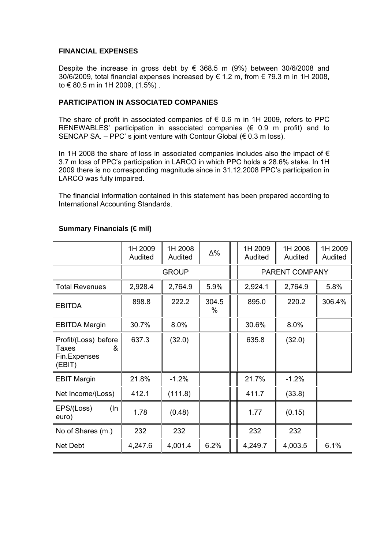#### **FINANCIAL EXPENSES**

Despite the increase in gross debt by  $\epsilon$  368.5 m (9%) between 30/6/2008 and 30/6/2009, total financial expenses increased by € 1.2 m, from € 79.3 m in 1H 2008, to € 80.5 m in 1H 2009, (1.5%) .

#### **PARTICIPATION IN ASSOCIATED COMPANIES**

The share of profit in associated companies of  $\epsilon$  0.6 m in 1H 2009, refers to PPC RENEWABLES' participation in associated companies (€ 0.9 m profit) and to SENCAP SA. – PPC's joint venture with Contour Global ( $\epsilon$  0.3 m loss).

In 1H 2008 the share of loss in associated companies includes also the impact of  $\epsilon$ 3.7 m loss of PPC's participation in LARCO in which PPC holds a 28.6% stake. In 1H 2009 there is no corresponding magnitude since in 31.12.2008 PPC's participation in LARCO was fully impaired.

The financial information contained in this statement has been prepared according to International Accounting Standards.

|                                                                     | 1H 2009<br>Audited | 1H 2008<br>Audited | Δ%            | 1H 2009<br>Audited | 1H 2008<br>Audited | 1H 2009<br>Audited |  |
|---------------------------------------------------------------------|--------------------|--------------------|---------------|--------------------|--------------------|--------------------|--|
|                                                                     |                    | <b>GROUP</b>       |               | PARENT COMPANY     |                    |                    |  |
| <b>Total Revenues</b>                                               | 2,928.4            | 2,764.9            | 5.9%          | 2,924.1            | 2,764.9            | 5.8%               |  |
| <b>EBITDA</b>                                                       | 898.8              | 222.2              | 304.5<br>$\%$ | 895.0              | 220.2              | 306.4%             |  |
| <b>EBITDA Margin</b>                                                | 30.7%              | 8.0%               |               | 30.6%              | 8.0%               |                    |  |
| Profit/(Loss) before<br><b>Taxes</b><br>&<br>Fin.Expenses<br>(EBIT) | 637.3              | (32.0)             |               | 635.8              | (32.0)             |                    |  |
| <b>EBIT Margin</b>                                                  | 21.8%              | $-1.2%$            |               | 21.7%              | $-1.2%$            |                    |  |
| Net Income/(Loss)                                                   | 412.1              | (111.8)            |               | 411.7              | (33.8)             |                    |  |
| EPS/(Loss)<br>(In<br>euro)                                          | 1.78               | (0.48)             |               | 1.77               | (0.15)             |                    |  |
| No of Shares (m.)                                                   | 232                | 232                |               | 232                | 232                |                    |  |
| <b>Net Debt</b>                                                     | 4,247.6            | 4,001.4            | 6.2%          | 4,249.7            | 4,003.5            | 6.1%               |  |

#### **Summary Financials (€ mil)**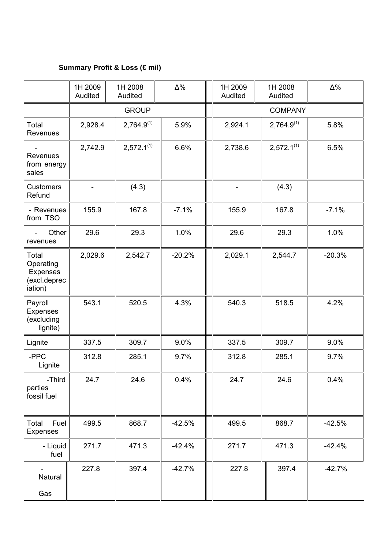# **Summary Profit & Loss (€ mil)**

|                                                           | 1H 2009<br>Audited | 1H 2008<br>Audited | $\Delta\%$ |  | 1H 2009<br>Audited | 1H 2008<br>Audited | $\Delta\%$ |  |  |
|-----------------------------------------------------------|--------------------|--------------------|------------|--|--------------------|--------------------|------------|--|--|
|                                                           | <b>GROUP</b>       |                    |            |  | <b>COMPANY</b>     |                    |            |  |  |
| Total<br>Revenues                                         | 2,928.4            | $2,764.9^{(1)}$    | 5.9%       |  | 2,924.1            | $2,764.9^{(1)}$    | 5.8%       |  |  |
| $\blacksquare$<br>Revenues<br>from energy<br>sales        | 2,742.9            | $2,572.1^{(1)}$    | 6.6%       |  | 2,738.6            | $2,572.1^{(1)}$    | 6.5%       |  |  |
| <b>Customers</b><br>Refund                                |                    | (4.3)              |            |  |                    | (4.3)              |            |  |  |
| - Revenues<br>from TSO                                    | 155.9              | 167.8              | $-7.1%$    |  | 155.9              | 167.8              | $-7.1%$    |  |  |
| Other<br>$\blacksquare$<br>revenues                       | 29.6               | 29.3               | 1.0%       |  | 29.6               | 29.3               | 1.0%       |  |  |
| Total<br>Operating<br>Expenses<br>(excl.deprec<br>iation) | 2,029.6            | 2,542.7            | $-20.2%$   |  | 2,029.1            | 2,544.7            | $-20.3%$   |  |  |
| Payroll<br><b>Expenses</b><br>(excluding<br>lignite)      | 543.1              | 520.5              | 4.3%       |  | 540.3              | 518.5              | 4.2%       |  |  |
| Lignite                                                   | 337.5<br>309.7     |                    | 9.0%       |  |                    | 309.7              | 9.0%       |  |  |
| -PPC<br>Lignite                                           | 312.8              | 285.1              | 9.7%       |  | 312.8              | 285.1              | 9.7%       |  |  |
| -Third<br>parties<br>fossil fuel                          | 24.7               | 24.6               | 0.4%       |  | 24.7               | 24.6               | 0.4%       |  |  |
| Total<br>Fuel<br><b>Expenses</b>                          | 499.5              | 868.7              | $-42.5%$   |  | 499.5              | 868.7              | $-42.5%$   |  |  |
| - Liquid<br>fuel                                          | 271.7              | 471.3              | $-42.4%$   |  | 271.7              | 471.3              | $-42.4%$   |  |  |
| Natural<br>Gas                                            | 227.8              | 397.4              | $-42.7%$   |  | 227.8              | 397.4              | $-42.7%$   |  |  |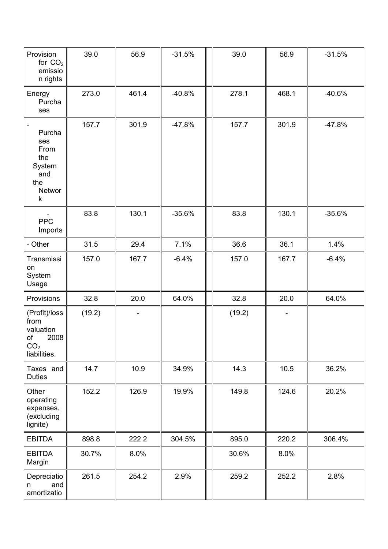| Provision<br>for $CO2$<br>emissio<br>n rights                                       | 39.0   | 56.9  | $-31.5%$ | 39.0   | 56.9  | $-31.5%$ |
|-------------------------------------------------------------------------------------|--------|-------|----------|--------|-------|----------|
| Energy<br>Purcha<br>ses                                                             | 273.0  | 461.4 | $-40.8%$ | 278.1  | 468.1 | $-40.6%$ |
| Purcha<br>ses<br>From<br>the<br>System<br>and<br>the<br>Networ<br>k                 | 157.7  | 301.9 | $-47.8%$ | 157.7  | 301.9 | $-47.8%$ |
| <b>PPC</b><br>Imports                                                               | 83.8   | 130.1 | $-35.6%$ | 83.8   | 130.1 | $-35.6%$ |
| - Other                                                                             | 31.5   | 29.4  | 7.1%     | 36.6   | 36.1  | 1.4%     |
| Transmissi<br>on<br>System<br>Usage                                                 | 157.0  | 167.7 | $-6.4%$  | 157.0  | 167.7 | $-6.4%$  |
| Provisions                                                                          | 32.8   | 20.0  | 64.0%    | 32.8   | 20.0  | 64.0%    |
| (Profit)/loss<br>from<br>valuation<br>2008<br>of<br>CO <sub>2</sub><br>liabilities. | (19.2) |       |          | (19.2) |       |          |
| Taxes and<br><b>Duties</b>                                                          | 14.7   | 10.9  | 34.9%    | 14.3   | 10.5  | 36.2%    |
| Other<br>operating<br>expenses.<br>(excluding<br>lignite)                           | 152.2  | 126.9 | 19.9%    | 149.8  | 124.6 | 20.2%    |
| <b>EBITDA</b>                                                                       | 898.8  | 222.2 | 304.5%   | 895.0  | 220.2 | 306.4%   |
| <b>EBITDA</b><br>Margin                                                             | 30.7%  | 8.0%  |          | 30.6%  | 8.0%  |          |
| Depreciatio<br>and<br>n<br>amortizatio                                              | 261.5  | 254.2 | 2.9%     | 259.2  | 252.2 | 2.8%     |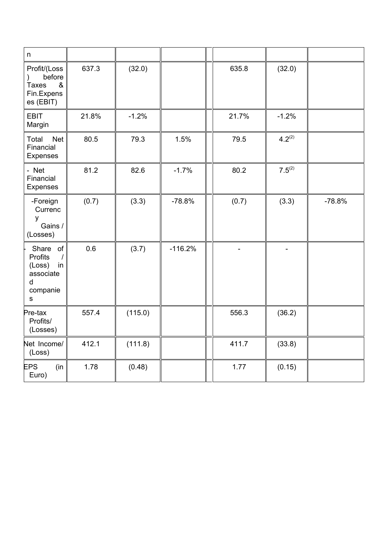| $\sf n$                                                                               |       |         |           |       |             |          |
|---------------------------------------------------------------------------------------|-------|---------|-----------|-------|-------------|----------|
| Profit/(Loss<br>before<br>&<br><b>Taxes</b><br>Fin.Expens<br>es (EBIT)                | 637.3 | (32.0)  |           | 635.8 | (32.0)      |          |
| <b>EBIT</b><br>Margin                                                                 | 21.8% | $-1.2%$ |           | 21.7% | $-1.2%$     |          |
| Total<br><b>Net</b><br>Financial<br>Expenses                                          | 80.5  | 79.3    | 1.5%      | 79.5  | $4.2^{(2)}$ |          |
| - Net<br>Financial<br>Expenses                                                        | 81.2  | 82.6    | $-1.7%$   | 80.2  | $7.5^{(2)}$ |          |
| -Foreign<br>Currenc<br>y<br>Gains /<br>(Losses)                                       | (0.7) | (3.3)   | $-78.8%$  | (0.7) | (3.3)       | $-78.8%$ |
| Share<br>of<br>Profits<br>$\prime$<br>(Loss)<br>in<br>associate<br>d<br>companie<br>S | 0.6   | (3.7)   | $-116.2%$ |       |             |          |
| Pre-tax<br>Profits/<br>(Losses)                                                       | 557.4 | (115.0) |           | 556.3 | (36.2)      |          |
| Net Income/<br>(Loss)                                                                 | 412.1 | (111.8) |           | 411.7 | (33.8)      |          |
| <b>EPS</b><br>(in)<br>Euro)                                                           | 1.78  | (0.48)  |           | 1.77  | (0.15)      |          |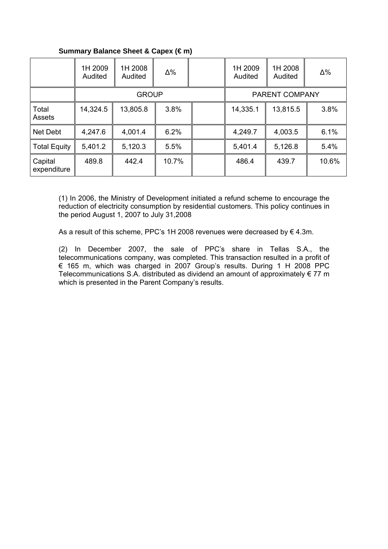|                        | 1H 2009<br>Audited | 1H 2008<br>Audited | $\Delta\%$ |                       | 1H 2009<br>Audited | 1H 2008<br>Audited | $\Delta\%$ |
|------------------------|--------------------|--------------------|------------|-----------------------|--------------------|--------------------|------------|
|                        |                    | <b>GROUP</b>       |            | <b>PARENT COMPANY</b> |                    |                    |            |
| Total<br>Assets        | 14,324.5           | 13,805.8           | 3.8%       |                       | 14,335.1           | 13,815.5           | 3.8%       |
| Net Debt               | 4,247.6            | 4,001.4            | 6.2%       |                       | 4,249.7            | 4,003.5            | 6.1%       |
| <b>Total Equity</b>    | 5,401.2            | 5,120.3            | 5.5%       |                       | 5,401.4            | 5,126.8            | 5.4%       |
| Capital<br>expenditure | 489.8              | 442.4              | 10.7%      |                       | 486.4              | 439.7              | 10.6%      |

## **Summary Balance Sheet & Capex (€ m)**

(1) In 2006, the Ministry of Development initiated a refund scheme to encourage the reduction of electricity consumption by residential customers. This policy continues in the period August 1, 2007 to July 31,2008

As a result of this scheme, PPC's 1H 2008 revenues were decreased by  $\epsilon$  4.3m.

(2) In December 2007, the sale of PPC's share in Tellas S.A., the telecommunications company, was completed. This transaction resulted in a profit of € 165 m, which was charged in 2007 Group's results. During 1 H 2008 PPC Telecommunications S.A. distributed as dividend an amount of approximately  $\epsilon$  77 m which is presented in the Parent Company's results.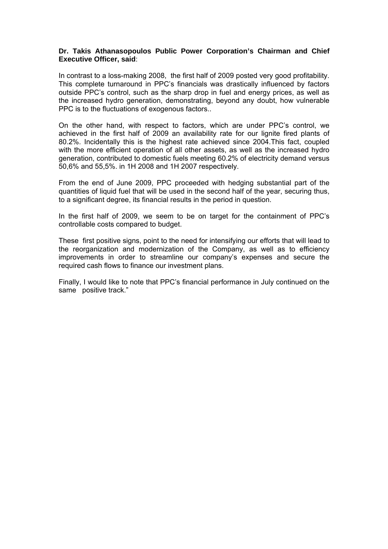#### **Dr. Takis Athanasopoulos Public Power Corporation's Chairman and Chief Executive Officer, said**:

Ιn contrast to a loss-making 2008, the first half of 2009 posted very good profitability. This complete turnaround in PPC's financials was drastically influenced by factors outside PPC's control, such as the sharp drop in fuel and energy prices, as well as the increased hydro generation, demonstrating, beyond any doubt, how vulnerable PPC is to the fluctuations of exogenous factors..

On the other hand, with respect to factors, which are under PPC's control, we achieved in the first half of 2009 an availability rate for our lignite fired plants of 80.2%. Incidentally this is the highest rate achieved since 2004.This fact, coupled with the more efficient operation of all other assets, as well as the increased hydro generation, contributed to domestic fuels meeting 60.2% of electricity demand versus 50,6% and 55,5%. in 1H 2008 and 1H 2007 respectively.

From the end of June 2009, PPC proceeded with hedging substantial part of the quantities of liquid fuel that will be used in the second half of the year, securing thus, to a significant degree, its financial results in the period in question.

In the first half of 2009, we seem to be on target for the containment of PPC's controllable costs compared to budget.

These first positive signs, point to the need for intensifying our efforts that will lead to the reorganization and modernization of the Company, as well as to efficiency improvements in order to streamline our company's expenses and secure the required cash flows to finance our investment plans.

Finally, I would like to note that PPC's financial performance in July continued on the same positive track."